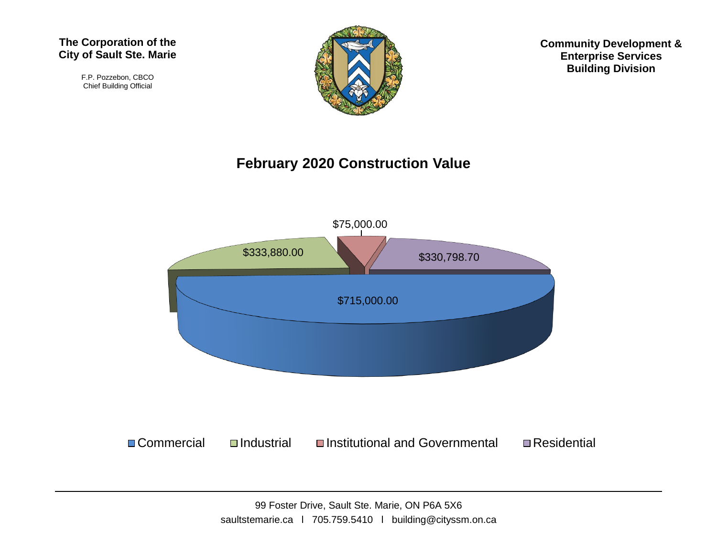#### **The Corporation of the City of Sault Ste. Marie**

F.P. Pozzebon, CBCO Chief Building Official



**Community Development & Enterprise Services Building Division**

#### **February 2020 Construction Value**

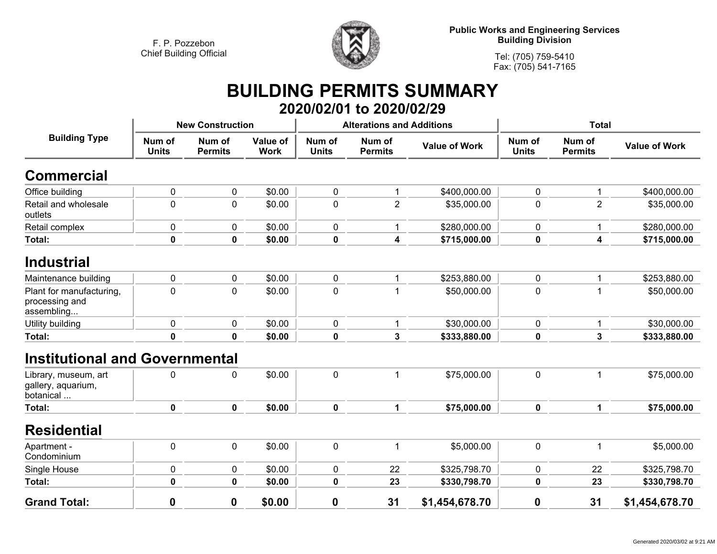

**Public Works and Engineering Services Building Division**

**Tel: (705) 759-5410 Fax: (705) 541-7165**

### **BUILDING PERMITS SUMMARY 2020/02/01 to 2020/02/29**

| <b>Building Type</b>                                     | <b>New Construction</b> |                          |                         |                        | <b>Alterations and Additions</b> |                      | <b>Total</b>           |                          |                      |
|----------------------------------------------------------|-------------------------|--------------------------|-------------------------|------------------------|----------------------------------|----------------------|------------------------|--------------------------|----------------------|
|                                                          | Num of<br><b>Units</b>  | Num of<br><b>Permits</b> | Value of<br><b>Work</b> | Num of<br><b>Units</b> | Num of<br><b>Permits</b>         | <b>Value of Work</b> | Num of<br><b>Units</b> | Num of<br><b>Permits</b> | <b>Value of Work</b> |
| <b>Commercial</b>                                        |                         |                          |                         |                        |                                  |                      |                        |                          |                      |
| Office building                                          | $\mathbf 0$             | $\pmb{0}$                | \$0.00                  | 0                      | 1                                | \$400,000.00         | 0                      | 1                        | \$400,000.00         |
| Retail and wholesale<br>outlets                          | $\mathbf 0$             | $\mathbf 0$              | \$0.00                  | $\mathbf 0$            | $\overline{2}$                   | \$35,000.00          | 0                      | $\overline{2}$           | \$35,000.00          |
| Retail complex                                           | $\mathbf 0$             | 0                        | \$0.00                  | $\mathbf 0$            | 1                                | \$280,000.00         | 0                      | 1                        | \$280,000.00         |
| <b>Total:</b>                                            | $\pmb{0}$               | $\mathbf 0$              | \$0.00                  | $\pmb{0}$              | 4                                | \$715,000.00         | $\mathbf 0$            | 4                        | \$715,000.00         |
| <b>Industrial</b>                                        |                         |                          |                         |                        |                                  |                      |                        |                          |                      |
| Maintenance building                                     | 0                       | 0                        | \$0.00                  | 0                      | 1                                | \$253,880.00         | 0                      | 1                        | \$253,880.00         |
| Plant for manufacturing,<br>processing and<br>assembling | $\mathbf 0$             | $\mathbf 0$              | \$0.00                  | $\mathbf 0$            |                                  | \$50,000.00          | 0                      |                          | \$50,000.00          |
| Utility building                                         | $\mathbf 0$             | $\mathbf 0$              | \$0.00                  | $\pmb{0}$              | 1                                | \$30,000.00          | 0                      | 1                        | \$30,000.00          |
| Total:                                                   | $\mathbf 0$             | $\mathbf 0$              | \$0.00                  | $\mathbf 0$            | 3                                | \$333,880.00         | $\mathbf 0$            | 3                        | \$333,880.00         |
| <b>Institutional and Governmental</b>                    |                         |                          |                         |                        |                                  |                      |                        |                          |                      |
| Library, museum, art<br>gallery, aquarium,<br>botanical  | 0                       | 0                        | \$0.00                  | $\mathbf 0$            | 1                                | \$75,000.00          | 0                      |                          | \$75,000.00          |
| <b>Total:</b>                                            | 0                       | $\mathbf 0$              | \$0.00                  | $\mathbf 0$            | 1                                | \$75,000.00          | $\mathbf 0$            | $\mathbf{1}$             | \$75,000.00          |
| <b>Residential</b>                                       |                         |                          |                         |                        |                                  |                      |                        |                          |                      |
| Apartment -<br>Condominium                               | $\mathbf 0$             | $\mathbf 0$              | \$0.00                  | $\mathbf 0$            | 1                                | \$5,000.00           | 0                      | 1                        | \$5,000.00           |
| Single House                                             | 0                       | $\mathbf 0$              | \$0.00                  | $\pmb{0}$              | 22                               | \$325,798.70         | 0                      | 22                       | \$325,798.70         |
| Total:                                                   | $\pmb{0}$               | $\mathbf 0$              | \$0.00                  | $\mathbf 0$            | 23                               | \$330,798.70         | 0                      | 23                       | \$330,798.70         |
| <b>Grand Total:</b>                                      | $\boldsymbol{0}$        | 0                        | \$0.00                  | $\boldsymbol{0}$       | 31                               | \$1,454,678.70       | $\mathbf 0$            | 31                       | \$1,454,678.70       |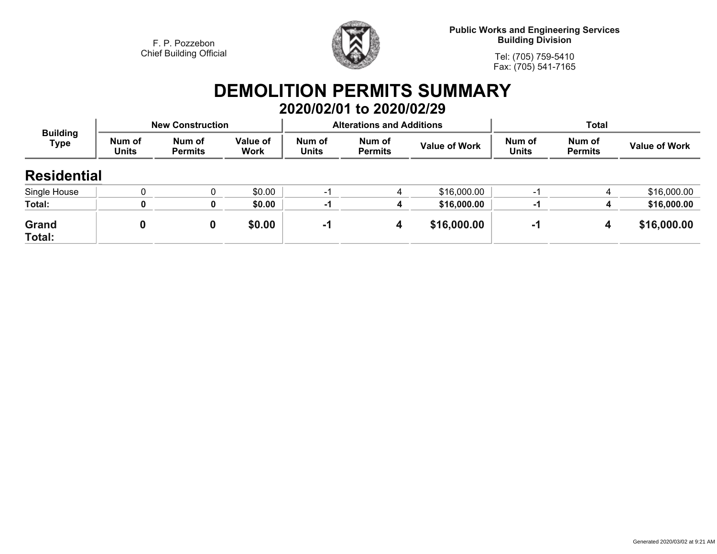

**Public Works and Engineering Services Building Division**

**Tel: (705) 759-5410Fax: (705) 541-7165**

## **DEMOLITION PERMITS SUMMARY 2020/02/01 to 2020/02/29**

| <b>Building</b><br><b>Type</b> |                        | <b>New Construction</b>  |                         |                        | <b>Alterations and Additions</b> |                      | <b>Total</b>           |                          |                      |
|--------------------------------|------------------------|--------------------------|-------------------------|------------------------|----------------------------------|----------------------|------------------------|--------------------------|----------------------|
|                                | Num of<br><b>Units</b> | Num of<br><b>Permits</b> | Value of<br><b>Work</b> | Num of<br><b>Units</b> | Num of<br><b>Permits</b>         | <b>Value of Work</b> | Num of<br><b>Units</b> | Num of<br><b>Permits</b> | <b>Value of Work</b> |
| <b>Residential</b>             |                        |                          |                         |                        |                                  |                      |                        |                          |                      |
| Single House                   |                        |                          | \$0.00                  | -1                     |                                  | \$16,000.00          | -1                     | 4                        | \$16,000.00          |
| Total:                         |                        | 0                        | \$0.00                  | -1                     |                                  | \$16,000.00          | -1                     | $\mathbf 4$              | \$16,000.00          |
| Grand<br>Total:                |                        | 0                        | \$0.00                  | -1                     | 4                                | \$16,000.00          | -1                     | 4                        | \$16,000.00          |